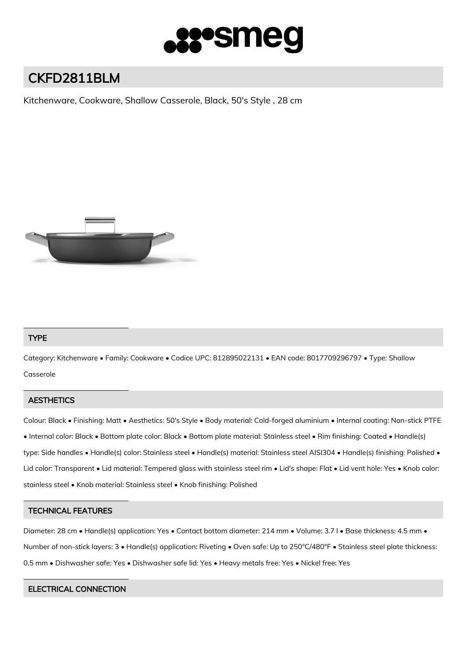

# CKFD2811BLM

Kitchenware, Cookware, Shallow Casserole, Black, 50's Style , 28 cm



## TYPE

Category: Kitchenware • Family: Cookware • Codice UPC: 812895022131 • EAN code: 8017709296797 • Type: Shallow Casserole

## **AESTHETICS**

Colour: Black • Finishing: Matt • Aesthetics: 50's Style • Body material: Cold-forged aluminium • Internal coating: Non-stick PTFE • Internal color: Black • Bottom plate color: Black • Bottom plate material: Stainless steel • Rim finishing: Coated • Handle(s) type: Side handles • Handle(s) color: Stainless steel • Handle(s) material: Stainless steel AISI304 • Handle(s) finishing: Polished • Lid color: Transparent • Lid material: Tempered glass with stainless steel rim • Lid's shape: Flat • Lid vent hole: Yes • Knob color: stainless steel • Knob material: Stainless steel • Knob finishing: Polished

## TECHNICAL FEATURES

Diameter: 28 cm • Handle(s) application: Yes • Contact bottom diameter: 214 mm • Volume: 3.7 l • Base thickness: 4.5 mm • Number of non-stick layers: 3 • Handle(s) application: Riveting • Oven safe: Up to 250°C/480°F • Stainless steel plate thickness: 0,5 mm • Dishwasher safe: Yes • Dishwasher safe lid: Yes • Heavy metals free: Yes • Nickel free: Yes

## ELECTRICAL CONNECTION